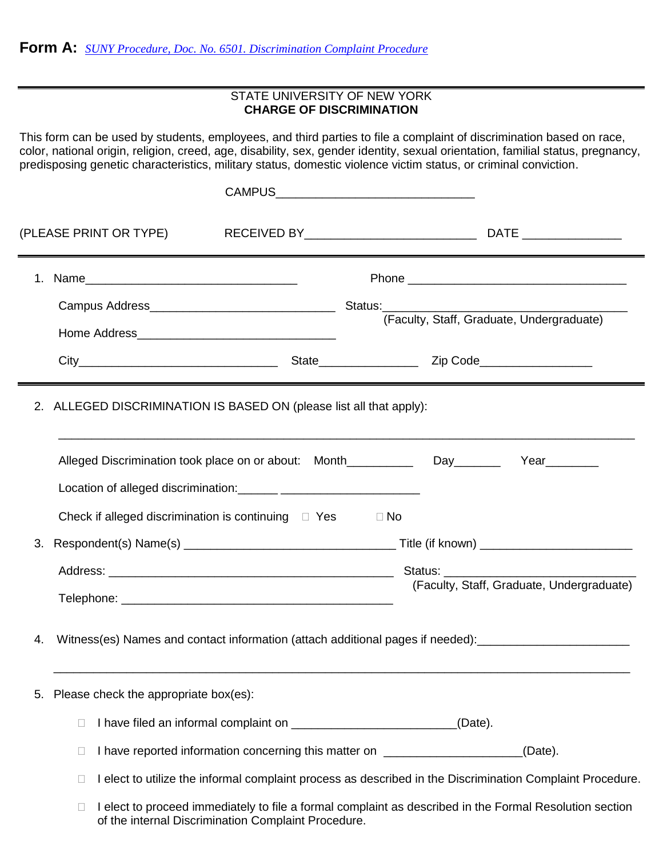## STATE UNIVERSITY OF NEW YORK **CHARGE OF DISCRIMINATION**

This form can be used by students, employees, and third parties to file a complaint of discrimination based on race, color, national origin, religion, creed, age, disability, sex, gender identity, sexual orientation, familial status, pregnancy, predisposing genetic characteristics, military status, domestic violence victim status, or criminal conviction.

|    |                                                                                                                                                                          |  |                                                                                  | (Faculty, Staff, Graduate, Undergraduate) |  |  |
|----|--------------------------------------------------------------------------------------------------------------------------------------------------------------------------|--|----------------------------------------------------------------------------------|-------------------------------------------|--|--|
|    |                                                                                                                                                                          |  |                                                                                  |                                           |  |  |
|    | 2. ALLEGED DISCRIMINATION IS BASED ON (please list all that apply):                                                                                                      |  |                                                                                  |                                           |  |  |
|    | Alleged Discrimination took place on or about: Month__________________Day________                                                                                        |  |                                                                                  | Year________                              |  |  |
|    | Check if alleged discrimination is continuing $\Box$ Yes                                                                                                                 |  | $\Box$ No                                                                        |                                           |  |  |
|    |                                                                                                                                                                          |  |                                                                                  |                                           |  |  |
|    |                                                                                                                                                                          |  |                                                                                  |                                           |  |  |
|    |                                                                                                                                                                          |  |                                                                                  | (Faculty, Staff, Graduate, Undergraduate) |  |  |
| 4. | Witness(es) Names and contact information (attach additional pages if needed): _____________________                                                                     |  |                                                                                  |                                           |  |  |
| 5. | Please check the appropriate box(es):                                                                                                                                    |  |                                                                                  |                                           |  |  |
|    | □                                                                                                                                                                        |  | (Date).                                                                          |                                           |  |  |
|    | $\overline{\phantom{a}}$                                                                                                                                                 |  | I have reported information concerning this matter on __________________________ | (Date).                                   |  |  |
|    | I elect to utilize the informal complaint process as described in the Discrimination Complaint Procedure.<br>$\overline{\phantom{a}}$                                    |  |                                                                                  |                                           |  |  |
|    | I elect to proceed immediately to file a formal complaint as described in the Formal Resolution section<br>$\Box$<br>of the internal Discrimination Complaint Procedure. |  |                                                                                  |                                           |  |  |